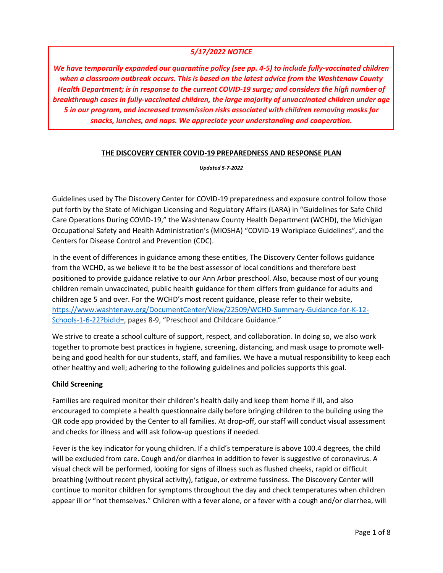## *5/17/2022 NOTICE*

*We have temporarily expanded our quarantine policy (see pp. 4-5) to include fully-vaccinated children when a classroom outbreak occurs. This is based on the latest advice from the Washtenaw County Health Department; is in response to the current COVID-19 surge; and considers the high number of breakthrough cases in fully-vaccinated children, the large majority of unvaccinated children under age 5 in our program, and increased transmission risks associated with children removing masks for snacks, lunches, and naps. We appreciate your understanding and cooperation.* 

#### **THE DISCOVERY CENTER COVID-19 PREPAREDNESS AND RESPONSE PLAN**

*Updated 5-7-2022* 

Guidelines used by The Discovery Center for COVID-19 preparedness and exposure control follow those put forth by the State of Michigan Licensing and Regulatory Affairs (LARA) in "Guidelines for Safe Child Care Operations During COVID-19," the Washtenaw County Health Department (WCHD), the Michigan Occupational Safety and Health Administration's (MIOSHA) "COVID-19 Workplace Guidelines", and the Centers for Disease Control and Prevention (CDC).

In the event of differences in guidance among these entities, The Discovery Center follows guidance from the WCHD, as we believe it to be the best assessor of local conditions and therefore best positioned to provide guidance relative to our Ann Arbor preschool. Also, because most of our young children remain unvaccinated, public health guidance for them differs from guidance for adults and children age 5 and over. For the WCHD's most recent guidance, please refer to their website, https://www.washtenaw.org/DocumentCenter/View/22509/WCHD-Summary-Guidance-for-K-12- Schools-1-6-22?bidId=, pages 8-9, "Preschool and Childcare Guidance."

We strive to create a school culture of support, respect, and collaboration. In doing so, we also work together to promote best practices in hygiene, screening, distancing, and mask usage to promote wellbeing and good health for our students, staff, and families. We have a mutual responsibility to keep each other healthy and well; adhering to the following guidelines and policies supports this goal.

### **Child Screening**

Families are required monitor their children's health daily and keep them home if ill, and also encouraged to complete a health questionnaire daily before bringing children to the building using the QR code app provided by the Center to all families. At drop-off, our staff will conduct visual assessment and checks for illness and will ask follow-up questions if needed.

Fever is the key indicator for young children. If a child's temperature is above 100.4 degrees, the child will be excluded from care. Cough and/or diarrhea in addition to fever is suggestive of coronavirus. A visual check will be performed, looking for signs of illness such as flushed cheeks, rapid or difficult breathing (without recent physical activity), fatigue, or extreme fussiness. The Discovery Center will continue to monitor children for symptoms throughout the day and check temperatures when children appear ill or "not themselves." Children with a fever alone, or a fever with a cough and/or diarrhea, will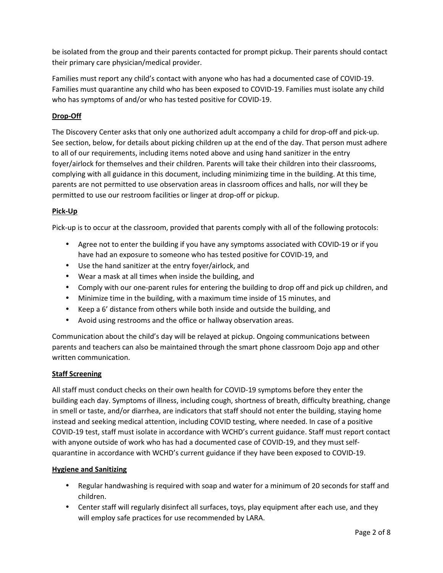be isolated from the group and their parents contacted for prompt pickup. Their parents should contact their primary care physician/medical provider.

Families must report any child's contact with anyone who has had a documented case of COVID-19. Families must quarantine any child who has been exposed to COVID-19. Families must isolate any child who has symptoms of and/or who has tested positive for COVID-19.

# **Drop-Off**

The Discovery Center asks that only one authorized adult accompany a child for drop-off and pick-up. See section, below, for details about picking children up at the end of the day. That person must adhere to all of our requirements, including items noted above and using hand sanitizer in the entry foyer/airlock for themselves and their children. Parents will take their children into their classrooms, complying with all guidance in this document, including minimizing time in the building. At this time, parents are not permitted to use observation areas in classroom offices and halls, nor will they be permitted to use our restroom facilities or linger at drop-off or pickup.

## **Pick-Up**

Pick-up is to occur at the classroom, provided that parents comply with all of the following protocols:

- Agree not to enter the building if you have any symptoms associated with COVID-19 or if you have had an exposure to someone who has tested positive for COVID-19, and
- Use the hand sanitizer at the entry foyer/airlock, and
- Wear a mask at all times when inside the building, and
- Comply with our one-parent rules for entering the building to drop off and pick up children, and
- Minimize time in the building, with a maximum time inside of 15 minutes, and
- Keep a 6' distance from others while both inside and outside the building, and
- Avoid using restrooms and the office or hallway observation areas.

Communication about the child's day will be relayed at pickup. Ongoing communications between parents and teachers can also be maintained through the smart phone classroom Dojo app and other written communication.

### **Staff Screening**

All staff must conduct checks on their own health for COVID-19 symptoms before they enter the building each day. Symptoms of illness, including cough, shortness of breath, difficulty breathing, change in smell or taste, and/or diarrhea, are indicators that staff should not enter the building, staying home instead and seeking medical attention, including COVID testing, where needed. In case of a positive COVID-19 test, staff must isolate in accordance with WCHD's current guidance. Staff must report contact with anyone outside of work who has had a documented case of COVID-19, and they must selfquarantine in accordance with WCHD's current guidance if they have been exposed to COVID-19.

### **Hygiene and Sanitizing**

- Regular handwashing is required with soap and water for a minimum of 20 seconds for staff and children.
- Center staff will regularly disinfect all surfaces, toys, play equipment after each use, and they will employ safe practices for use recommended by LARA.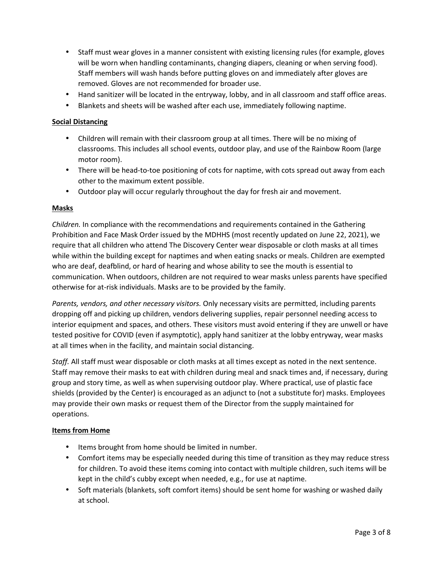- Staff must wear gloves in a manner consistent with existing licensing rules (for example, gloves will be worn when handling contaminants, changing diapers, cleaning or when serving food). Staff members will wash hands before putting gloves on and immediately after gloves are removed. Gloves are not recommended for broader use.
- Hand sanitizer will be located in the entryway, lobby, and in all classroom and staff office areas.
- Blankets and sheets will be washed after each use, immediately following naptime.

#### **Social Distancing**

- Children will remain with their classroom group at all times. There will be no mixing of classrooms. This includes all school events, outdoor play, and use of the Rainbow Room (large motor room).
- There will be head-to-toe positioning of cots for naptime, with cots spread out away from each other to the maximum extent possible.
- Outdoor play will occur regularly throughout the day for fresh air and movement.

#### **Masks**

*Children.* In compliance with the recommendations and requirements contained in the Gathering Prohibition and Face Mask Order issued by the MDHHS (most recently updated on June 22, 2021), we require that all children who attend The Discovery Center wear disposable or cloth masks at all times while within the building except for naptimes and when eating snacks or meals. Children are exempted who are deaf, deafblind, or hard of hearing and whose ability to see the mouth is essential to communication. When outdoors, children are not required to wear masks unless parents have specified otherwise for at-risk individuals. Masks are to be provided by the family.

*Parents, vendors, and other necessary visitors.* Only necessary visits are permitted, including parents dropping off and picking up children, vendors delivering supplies, repair personnel needing access to interior equipment and spaces, and others. These visitors must avoid entering if they are unwell or have tested positive for COVID (even if asymptotic), apply hand sanitizer at the lobby entryway, wear masks at all times when in the facility, and maintain social distancing.

*Staff.* All staff must wear disposable or cloth masks at all times except as noted in the next sentence. Staff may remove their masks to eat with children during meal and snack times and, if necessary, during group and story time, as well as when supervising outdoor play. Where practical, use of plastic face shields (provided by the Center) is encouraged as an adjunct to (not a substitute for) masks. Employees may provide their own masks or request them of the Director from the supply maintained for operations.

#### **Items from Home**

- Items brought from home should be limited in number.
- Comfort items may be especially needed during this time of transition as they may reduce stress for children. To avoid these items coming into contact with multiple children, such items will be kept in the child's cubby except when needed, e.g., for use at naptime.
- Soft materials (blankets, soft comfort items) should be sent home for washing or washed daily at school.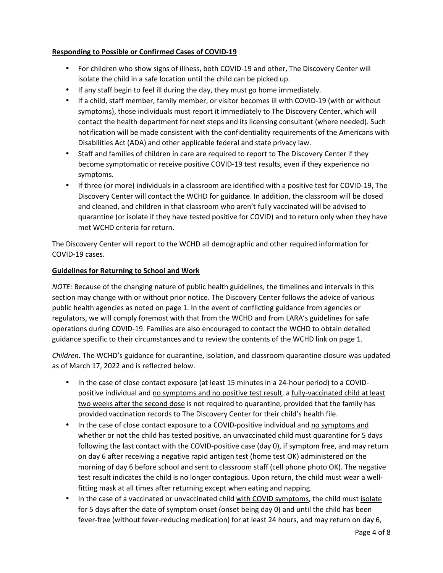## **Responding to Possible or Confirmed Cases of COVID-19**

- For children who show signs of illness, both COVID-19 and other, The Discovery Center will isolate the child in a safe location until the child can be picked up.
- If any staff begin to feel ill during the day, they must go home immediately.
- If a child, staff member, family member, or visitor becomes ill with COVID-19 (with or without symptoms), those individuals must report it immediately to The Discovery Center, which will contact the health department for next steps and its licensing consultant (where needed). Such notification will be made consistent with the confidentiality requirements of the Americans with Disabilities Act (ADA) and other applicable federal and state privacy law.
- Staff and families of children in care are required to report to The Discovery Center if they become symptomatic or receive positive COVID-19 test results, even if they experience no symptoms.
- If three (or more) individuals in a classroom are identified with a positive test for COVID-19, The Discovery Center will contact the WCHD for guidance. In addition, the classroom will be closed and cleaned, and children in that classroom who aren't fully vaccinated will be advised to quarantine (or isolate if they have tested positive for COVID) and to return only when they have met WCHD criteria for return.

The Discovery Center will report to the WCHD all demographic and other required information for COVID-19 cases.

### **Guidelines for Returning to School and Work**

*NOTE:* Because of the changing nature of public health guidelines, the timelines and intervals in this section may change with or without prior notice. The Discovery Center follows the advice of various public health agencies as noted on page 1. In the event of conflicting guidance from agencies or regulators, we will comply foremost with that from the WCHD and from LARA's guidelines for safe operations during COVID-19. Families are also encouraged to contact the WCHD to obtain detailed guidance specific to their circumstances and to review the contents of the WCHD link on page 1.

*Children.* The WCHD's guidance for quarantine, isolation, and classroom quarantine closure was updated as of March 17, 2022 and is reflected below.

- In the case of close contact exposure (at least 15 minutes in a 24-hour period) to a COVIDpositive individual and no symptoms and no positive test result, a fully-vaccinated child at least two weeks after the second dose is not required to quarantine, provided that the family has provided vaccination records to The Discovery Center for their child's health file.
- In the case of close contact exposure to a COVID-positive individual and no symptoms and whether or not the child has tested positive, an unvaccinated child must quarantine for 5 days following the last contact with the COVID-positive case (day 0), if symptom free, and may return on day 6 after receiving a negative rapid antigen test (home test OK) administered on the morning of day 6 before school and sent to classroom staff (cell phone photo OK). The negative test result indicates the child is no longer contagious. Upon return, the child must wear a wellfitting mask at all times after returning except when eating and napping.
- In the case of a vaccinated or unvaccinated child with COVID symptoms, the child must isolate for 5 days after the date of symptom onset (onset being day 0) and until the child has been fever-free (without fever-reducing medication) for at least 24 hours, and may return on day 6,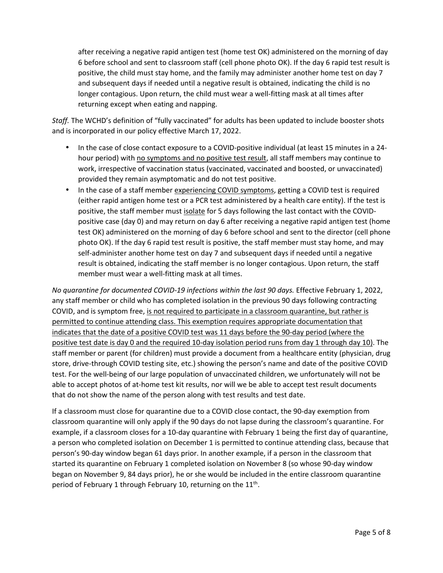after receiving a negative rapid antigen test (home test OK) administered on the morning of day 6 before school and sent to classroom staff (cell phone photo OK). If the day 6 rapid test result is positive, the child must stay home, and the family may administer another home test on day 7 and subsequent days if needed until a negative result is obtained, indicating the child is no longer contagious. Upon return, the child must wear a well-fitting mask at all times after returning except when eating and napping.

*Staff.* The WCHD's definition of "fully vaccinated" for adults has been updated to include booster shots and is incorporated in our policy effective March 17, 2022.

- In the case of close contact exposure to a COVID-positive individual (at least 15 minutes in a 24 hour period) with no symptoms and no positive test result, all staff members may continue to work, irrespective of vaccination status (vaccinated, vaccinated and boosted, or unvaccinated) provided they remain asymptomatic and do not test positive.
- In the case of a staff member experiencing COVID symptoms, getting a COVID test is required (either rapid antigen home test or a PCR test administered by a health care entity). If the test is positive, the staff member must isolate for 5 days following the last contact with the COVIDpositive case (day 0) and may return on day 6 after receiving a negative rapid antigen test (home test OK) administered on the morning of day 6 before school and sent to the director (cell phone photo OK). If the day 6 rapid test result is positive, the staff member must stay home, and may self-administer another home test on day 7 and subsequent days if needed until a negative result is obtained, indicating the staff member is no longer contagious. Upon return, the staff member must wear a well-fitting mask at all times.

*No quarantine for documented COVID-19 infections within the last 90 days.* Effective February 1, 2022, any staff member or child who has completed isolation in the previous 90 days following contracting COVID, and is symptom free, is not required to participate in a classroom quarantine, but rather is permitted to continue attending class. This exemption requires appropriate documentation that indicates that the date of a positive COVID test was 11 days before the 90-day period (where the positive test date is day 0 and the required 10-day isolation period runs from day 1 through day 10). The staff member or parent (for children) must provide a document from a healthcare entity (physician, drug store, drive-through COVID testing site, etc.) showing the person's name and date of the positive COVID test. For the well-being of our large population of unvaccinated children, we unfortunately will not be able to accept photos of at-home test kit results, nor will we be able to accept test result documents that do not show the name of the person along with test results and test date.

If a classroom must close for quarantine due to a COVID close contact, the 90-day exemption from classroom quarantine will only apply if the 90 days do not lapse during the classroom's quarantine. For example, if a classroom closes for a 10-day quarantine with February 1 being the first day of quarantine, a person who completed isolation on December 1 is permitted to continue attending class, because that person's 90-day window began 61 days prior. In another example, if a person in the classroom that started its quarantine on February 1 completed isolation on November 8 (so whose 90-day window began on November 9, 84 days prior), he or she would be included in the entire classroom quarantine period of February 1 through February 10, returning on the 11<sup>th</sup>.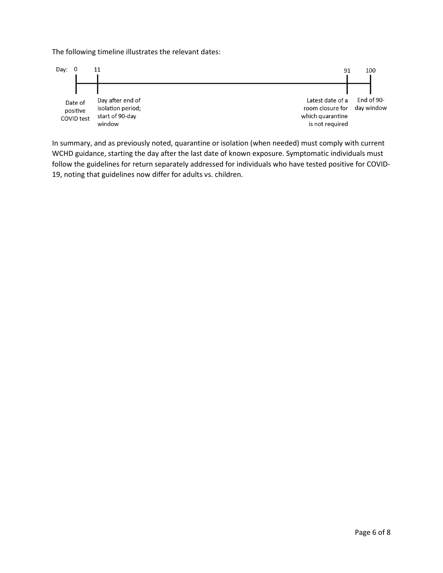The following timeline illustrates the relevant dates:



In summary, and as previously noted, quarantine or isolation (when needed) must comply with current WCHD guidance, starting the day after the last date of known exposure. Symptomatic individuals must follow the guidelines for return separately addressed for individuals who have tested positive for COVID-19, noting that guidelines now differ for adults vs. children.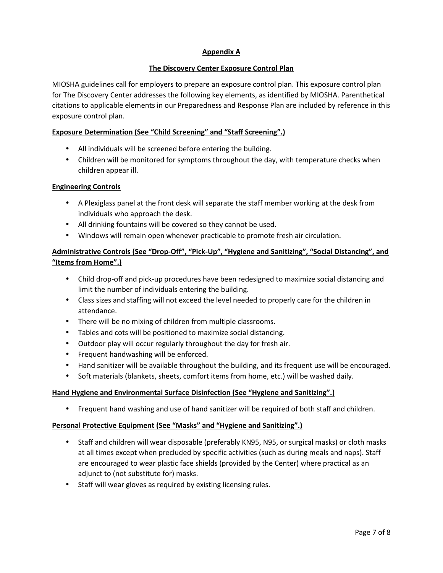## **Appendix A**

### **The Discovery Center Exposure Control Plan**

MIOSHA guidelines call for employers to prepare an exposure control plan. This exposure control plan for The Discovery Center addresses the following key elements, as identified by MIOSHA. Parenthetical citations to applicable elements in our Preparedness and Response Plan are included by reference in this exposure control plan.

### **Exposure Determination (See "Child Screening" and "Staff Screening".)**

- All individuals will be screened before entering the building.
- Children will be monitored for symptoms throughout the day, with temperature checks when children appear ill.

### **Engineering Controls**

- A Plexiglass panel at the front desk will separate the staff member working at the desk from individuals who approach the desk.
- All drinking fountains will be covered so they cannot be used.
- Windows will remain open whenever practicable to promote fresh air circulation.

# **Administrative Controls (See "Drop-Off", "Pick-Up", "Hygiene and Sanitizing", "Social Distancing", and "Items from Home".)**

- Child drop-off and pick-up procedures have been redesigned to maximize social distancing and limit the number of individuals entering the building.
- Class sizes and staffing will not exceed the level needed to properly care for the children in attendance.
- There will be no mixing of children from multiple classrooms.
- Tables and cots will be positioned to maximize social distancing.
- Outdoor play will occur regularly throughout the day for fresh air.
- Frequent handwashing will be enforced.
- Hand sanitizer will be available throughout the building, and its frequent use will be encouraged.
- Soft materials (blankets, sheets, comfort items from home, etc.) will be washed daily.

### **Hand Hygiene and Environmental Surface Disinfection (See "Hygiene and Sanitizing".)**

• Frequent hand washing and use of hand sanitizer will be required of both staff and children.

### **Personal Protective Equipment (See "Masks" and "Hygiene and Sanitizing".)**

- Staff and children will wear disposable (preferably KN95, N95, or surgical masks) or cloth masks at all times except when precluded by specific activities (such as during meals and naps). Staff are encouraged to wear plastic face shields (provided by the Center) where practical as an adjunct to (not substitute for) masks.
- Staff will wear gloves as required by existing licensing rules.